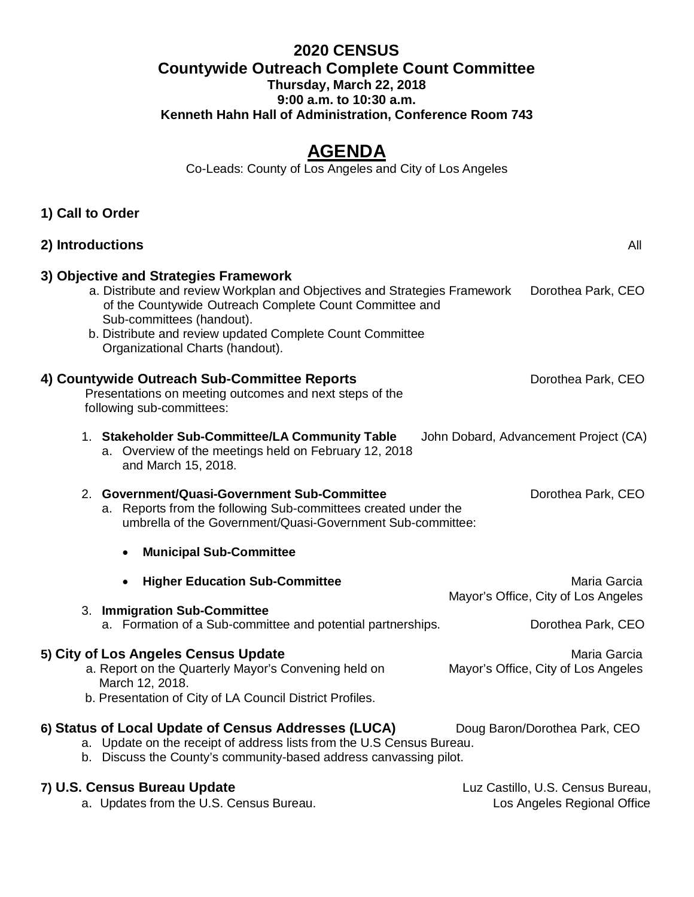## **2020 CENSUS Countywide Outreach Complete Count Committee Thursday, March 22, 2018 9:00 a.m. to 10:30 a.m. Kenneth Hahn Hall of Administration, Conference Room 743**

# **AGENDA**

Co-Leads: County of Los Angeles and City of Los Angeles

| 2) Introductions                                                                                                                                                                                                                                                                                            | All                                                 |
|-------------------------------------------------------------------------------------------------------------------------------------------------------------------------------------------------------------------------------------------------------------------------------------------------------------|-----------------------------------------------------|
| 3) Objective and Strategies Framework<br>a. Distribute and review Workplan and Objectives and Strategies Framework<br>of the Countywide Outreach Complete Count Committee and<br>Sub-committees (handout).<br>b. Distribute and review updated Complete Count Committee<br>Organizational Charts (handout). | Dorothea Park, CEO                                  |
| 4) Countywide Outreach Sub-Committee Reports<br>Presentations on meeting outcomes and next steps of the<br>following sub-committees:                                                                                                                                                                        | Dorothea Park, CEO                                  |
| 1. Stakeholder Sub-Committee/LA Community Table<br>a. Overview of the meetings held on February 12, 2018<br>and March 15, 2018.                                                                                                                                                                             | John Dobard, Advancement Project (CA)               |
| 2. Government/Quasi-Government Sub-Committee<br>a. Reports from the following Sub-committees created under the<br>umbrella of the Government/Quasi-Government Sub-committee:                                                                                                                                | Dorothea Park, CEO                                  |
| <b>Municipal Sub-Committee</b><br>$\bullet$                                                                                                                                                                                                                                                                 |                                                     |
| <b>Higher Education Sub-Committee</b><br>$\bullet$<br>3. Immigration Sub-Committee                                                                                                                                                                                                                          | Maria Garcia<br>Mayor's Office, City of Los Angeles |
| a. Formation of a Sub-committee and potential partnerships.                                                                                                                                                                                                                                                 | Dorothea Park, CEO                                  |
| 5) City of Los Angeles Census Update<br>a. Report on the Quarterly Mayor's Convening held on<br>March 12, 2018.<br>b. Presentation of City of LA Council District Profiles.                                                                                                                                 | Maria Garcia<br>Mayor's Office, City of Los Angeles |
| 6) Status of Local Update of Census Addresses (LUCA)<br>a. Update on the receipt of address lists from the U.S Census Bureau.                                                                                                                                                                               | Doug Baron/Dorothea Park, CEO                       |

b. Discuss the County's community-based address canvassing pilot.

#### **7) U.S. Census Bureau Update Luz Castillo, U.S. Census Bureau, Luz Castillo, U.S. Census Bureau,**

**1) Call to Order** 

a. Updates from the U.S. Census Bureau. Los Angeles Regional Office